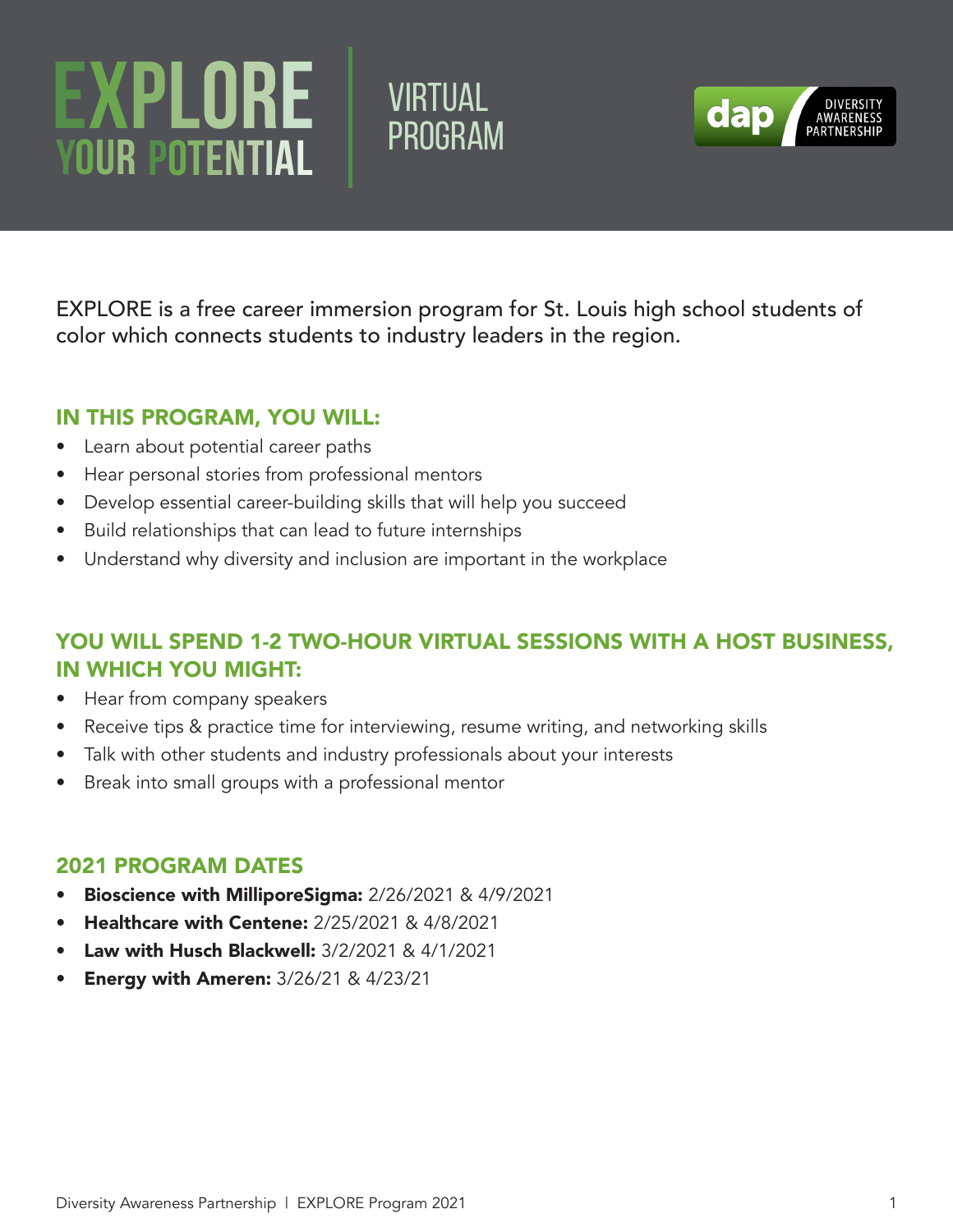# **EXPLORE YOUR PoTentiAL**

# VIRTUAL PROGRAM



EXPLORE is a free career immersion program for St. Louis high school students of color which connects students to industry leaders in the region.

## IN THIS PROGRAM, YOU WILL:

- Learn about potential career paths
- Hear personal stories from professional mentors
- Develop essential career-building skills that will help you succeed
- Build relationships that can lead to future internships
- Understand why diversity and inclusion are important in the workplace

# YOU WILL SPEND 1-2 TWO-HOUR VIRTUAL SESSIONS WITH A HOST BUSINESS, IN WHICH YOU MIGHT:

- Hear from company speakers
- Receive tips & practice time for interviewing, resume writing, and networking skills
- Talk with other students and industry professionals about your interests
- Break into small groups with a professional mentor

# 2021 PROGRAM DATES

- Bioscience with MilliporeSigma: 2/26/2021 & 4/9/2021
- Healthcare with Centene: 2/25/2021 & 4/8/2021
- Law with Husch Blackwell: 3/2/2021 & 4/1/2021
- Energy with Ameren: 3/26/21 & 4/23/21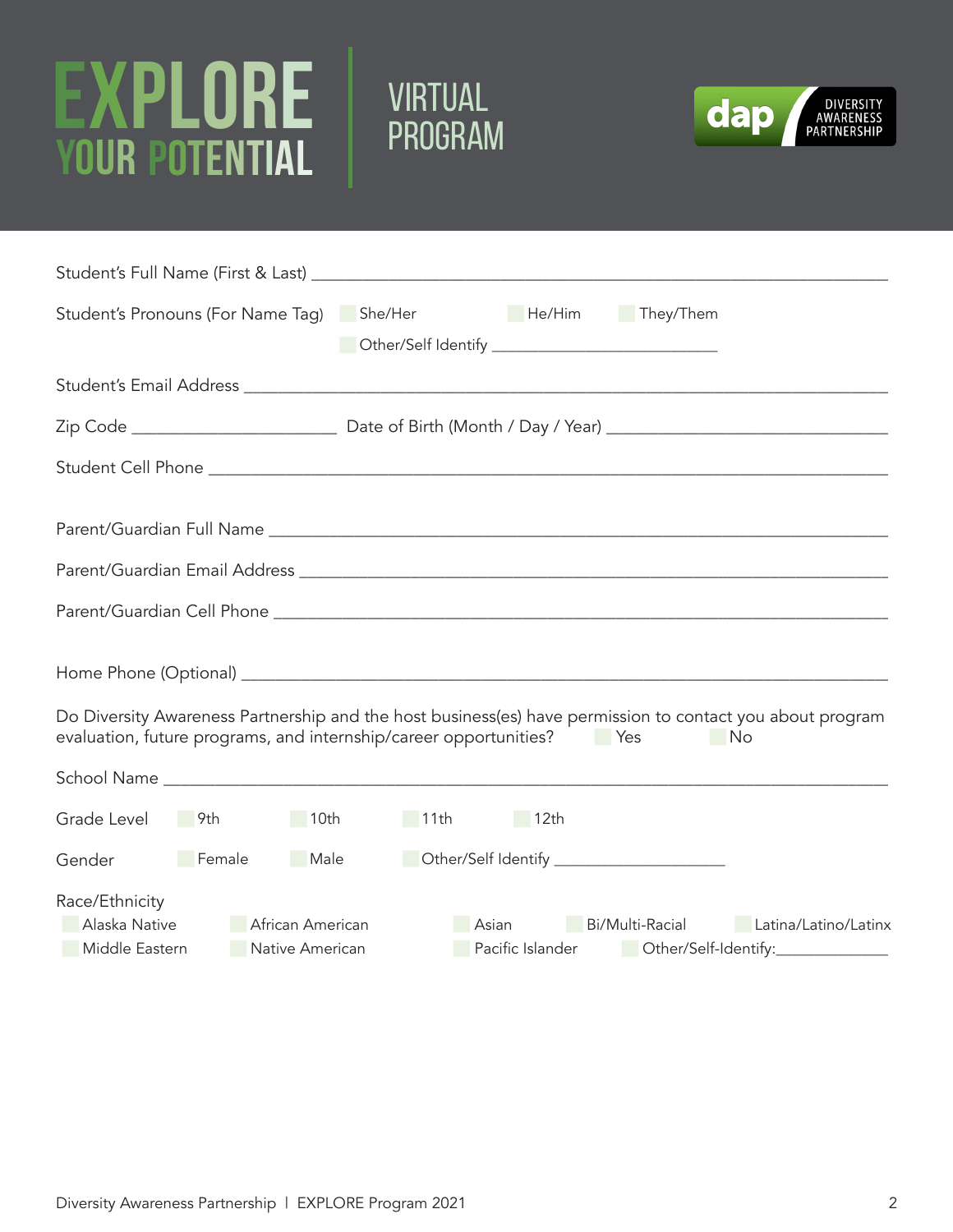# **EXPLORE YOUR PoTentiAL**





| Student's Pronouns (For Name Tag) She/Her Student's Pronouns (For Name Tag)<br>They/Them                                                                                                                                                                                                                                                                                                                             |
|----------------------------------------------------------------------------------------------------------------------------------------------------------------------------------------------------------------------------------------------------------------------------------------------------------------------------------------------------------------------------------------------------------------------|
|                                                                                                                                                                                                                                                                                                                                                                                                                      |
|                                                                                                                                                                                                                                                                                                                                                                                                                      |
|                                                                                                                                                                                                                                                                                                                                                                                                                      |
|                                                                                                                                                                                                                                                                                                                                                                                                                      |
|                                                                                                                                                                                                                                                                                                                                                                                                                      |
|                                                                                                                                                                                                                                                                                                                                                                                                                      |
|                                                                                                                                                                                                                                                                                                                                                                                                                      |
| Do Diversity Awareness Partnership and the host business(es) have permission to contact you about program<br>evaluation, future programs, and internship/career opportunities?<br><u>Note</u> Note that the Note that the Note that the Note that the Note that the Note that the Note that the Note that the Note that the Note that the Note that the Note that the Note that the Note that the Note that the Note |
|                                                                                                                                                                                                                                                                                                                                                                                                                      |
| Grade Level 9th<br><b>Example 10th</b> 11th 12th                                                                                                                                                                                                                                                                                                                                                                     |
| Gender<br>Female<br>Male                                                                                                                                                                                                                                                                                                                                                                                             |
| Race/Ethnicity<br>Alaska Native<br>Bi/Multi-Racial Latina/Latino/Latinx<br>African American<br>Asian<br>Pacific Islander Cher/Self-Identify:<br>Middle Eastern<br>Native American                                                                                                                                                                                                                                    |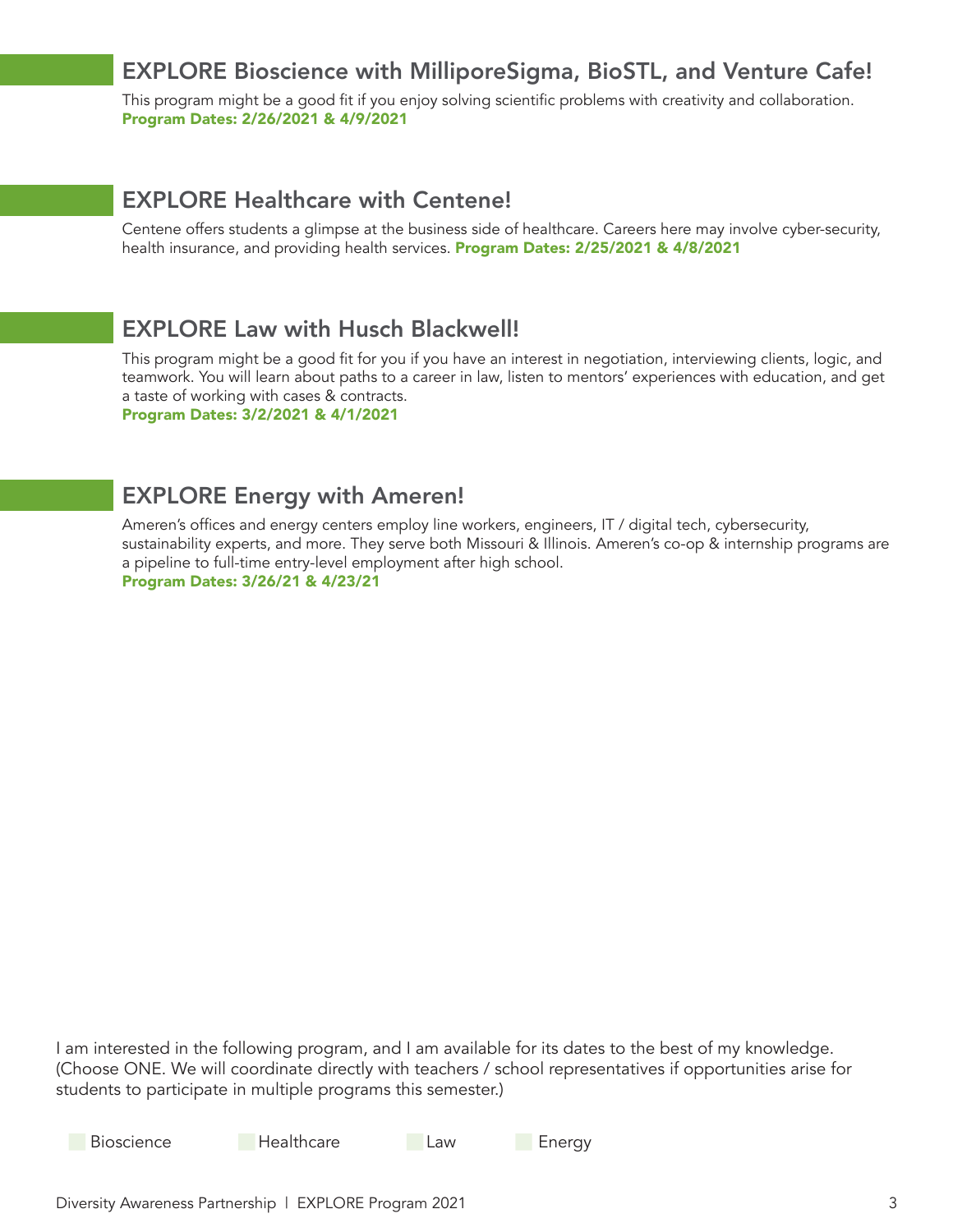# EXPLORE Bioscience with MilliporeSigma, BioSTL, and Venture Cafe!

This program might be a good fit if you enjoy solving scientific problems with creativity and collaboration. Program Dates: 2/26/2021 & 4/9/2021

### EXPLORE Healthcare with Centene!

Centene offers students a glimpse at the business side of healthcare. Careers here may involve cyber-security, health insurance, and providing health services. Program Dates: 2/25/2021 & 4/8/2021

## EXPLORE Law with Husch Blackwell!

This program might be a good fit for you if you have an interest in negotiation, interviewing clients, logic, and teamwork. You will learn about paths to a career in law, listen to mentors' experiences with education, and get a taste of working with cases & contracts. Program Dates: 3/2/2021 & 4/1/2021

EXPLORE Energy with Ameren!

Ameren's offices and energy centers employ line workers, engineers, IT / digital tech, cybersecurity, sustainability experts, and more. They serve both Missouri & Illinois. Ameren's co-op & internship programs are a pipeline to full-time entry-level employment after high school. Program Dates: 3/26/21 & 4/23/21

I am interested in the following program, and I am available for its dates to the best of my knowledge. (Choose ONE. We will coordinate directly with teachers / school representatives if opportunities arise for students to participate in multiple programs this semester.)

Bioscience Healthcare Law Energy

Diversity Awareness Partnership | EXPLORE Program 2021 3